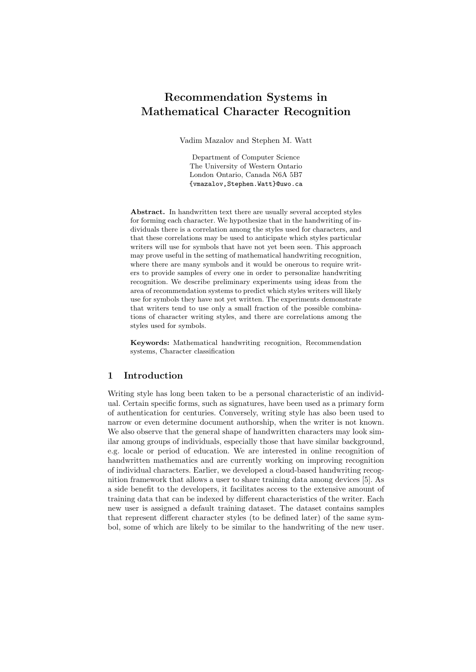# Recommendation Systems in Mathematical Character Recognition

Vadim Mazalov and Stephen M. Watt

Department of Computer Science The University of Western Ontario London Ontario, Canada N6A 5B7 {vmazalov,Stephen.Watt}@uwo.ca

Abstract. In handwritten text there are usually several accepted styles for forming each character. We hypothesize that in the handwriting of individuals there is a correlation among the styles used for characters, and that these correlations may be used to anticipate which styles particular writers will use for symbols that have not yet been seen. This approach may prove useful in the setting of mathematical handwriting recognition, where there are many symbols and it would be onerous to require writers to provide samples of every one in order to personalize handwriting recognition. We describe preliminary experiments using ideas from the area of recommendation systems to predict which styles writers will likely use for symbols they have not yet written. The experiments demonstrate that writers tend to use only a small fraction of the possible combinations of character writing styles, and there are correlations among the styles used for symbols.

Keywords: Mathematical handwriting recognition, Recommendation systems, Character classification

## 1 Introduction

Writing style has long been taken to be a personal characteristic of an individual. Certain specific forms, such as signatures, have been used as a primary form of authentication for centuries. Conversely, writing style has also been used to narrow or even determine document authorship, when the writer is not known. We also observe that the general shape of handwritten characters may look similar among groups of individuals, especially those that have similar background, e.g. locale or period of education. We are interested in online recognition of handwritten mathematics and are currently working on improving recognition of individual characters. Earlier, we developed a cloud-based handwriting recognition framework that allows a user to share training data among devices [5]. As a side benefit to the developers, it facilitates access to the extensive amount of training data that can be indexed by different characteristics of the writer. Each new user is assigned a default training dataset. The dataset contains samples that represent different character styles (to be defined later) of the same symbol, some of which are likely to be similar to the handwriting of the new user.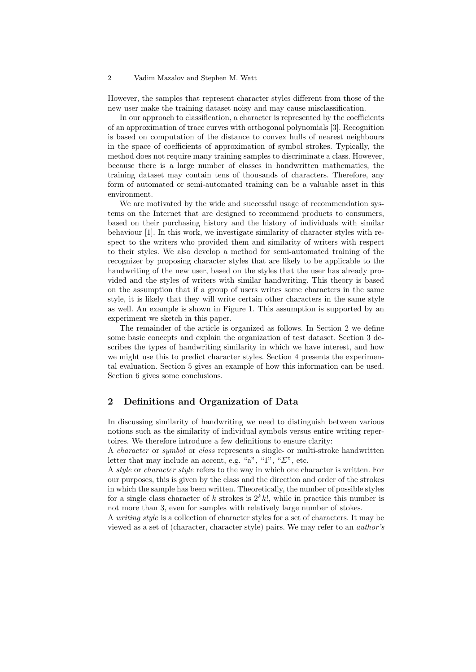#### 2 Vadim Mazalov and Stephen M. Watt

However, the samples that represent character styles different from those of the new user make the training dataset noisy and may cause misclassification.

In our approach to classification, a character is represented by the coefficients of an approximation of trace curves with orthogonal polynomials [3]. Recognition is based on computation of the distance to convex hulls of nearest neighbours in the space of coefficients of approximation of symbol strokes. Typically, the method does not require many training samples to discriminate a class. However, because there is a large number of classes in handwritten mathematics, the training dataset may contain tens of thousands of characters. Therefore, any form of automated or semi-automated training can be a valuable asset in this environment.

We are motivated by the wide and successful usage of recommendation systems on the Internet that are designed to recommend products to consumers, based on their purchasing history and the history of individuals with similar behaviour [1]. In this work, we investigate similarity of character styles with respect to the writers who provided them and similarity of writers with respect to their styles. We also develop a method for semi-automated training of the recognizer by proposing character styles that are likely to be applicable to the handwriting of the new user, based on the styles that the user has already provided and the styles of writers with similar handwriting. This theory is based on the assumption that if a group of users writes some characters in the same style, it is likely that they will write certain other characters in the same style as well. An example is shown in Figure 1. This assumption is supported by an experiment we sketch in this paper.

The remainder of the article is organized as follows. In Section 2 we define some basic concepts and explain the organization of test dataset. Section 3 describes the types of handwriting similarity in which we have interest, and how we might use this to predict character styles. Section 4 presents the experimental evaluation. Section 5 gives an example of how this information can be used. Section 6 gives some conclusions.

#### 2 Definitions and Organization of Data

In discussing similarity of handwriting we need to distinguish between various notions such as the similarity of individual symbols versus entire writing repertoires. We therefore introduce a few definitions to ensure clarity:

A character or symbol or class represents a single- or multi-stroke handwritten letter that may include an accent, e.g. "a", "1", " $\Sigma$ ", etc.

A style or character style refers to the way in which one character is written. For our purposes, this is given by the class and the direction and order of the strokes in which the sample has been written. Theoretically, the number of possible styles for a single class character of k strokes is  $2^k k!$ , while in practice this number is not more than 3, even for samples with relatively large number of stokes.

A writing style is a collection of character styles for a set of characters. It may be viewed as a set of (character, character style) pairs. We may refer to an author's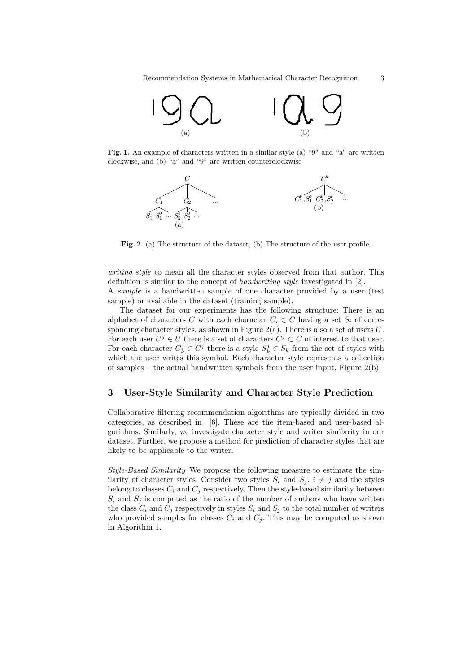

Fig. 1. An example of characters written in a similar style (a) "9" and "a" are written clockwise, and (b) "a" and "9" are written counterclockwise



Fig. 2. (a) The structure of the dataset, (b) The structure of the user profile.

writing style to mean all the character styles observed from that author. This definition is similar to the concept of handwriting style investigated in [2]. A sample is a handwritten sample of one character provided by a user (test sample) or available in the dataset (training sample).

The dataset for our experiments has the following structure: There is an alphabet of characters C with each character  $C_i \in \mathbb{C}$  having a set  $S_i$  of corresponding character styles, as shown in Figure  $2(a)$ . There is also a set of users  $U$ . For each user  $U^j \in U$  there is a set of characters  $C^j \subset C$  of interest to that user. For each character  $C_k^j \in C_j^j$  there is a style  $S_k^j \in S_k$  from the set of styles with which the user writes this symbol. Each character style represents a collection of samples – the actual handwritten symbols from the user input, Figure 2(b).

### 3 User-Style Similarity and Character Style Prediction

Collaborative filtering recommendation algorithms are typically divided in two categories, as described in [6]. These are the item-based and user-based algorithms. Similarly, we investigate character style and writer similarity in our dataset. Further, we propose a method for prediction of character styles that are likely to be applicable to the writer.

Style-Based Similarity We propose the following measure to estimate the similarity of character styles. Consider two styles  $S_i$  and  $S_j$ ,  $i \neq j$  and the styles belong to classes  $C_i$  and  $C_j$  respectively. Then the style-based similarity between  $S_i$  and  $S_j$  is computed as the ratio of the number of authors who have written the class  $C_i$  and  $C_j$  respectively in styles  $S_i$  and  $S_j$  to the total number of writers who provided samples for classes  $C_i$  and  $C_j$ . This may be computed as shown in Algorithm 1.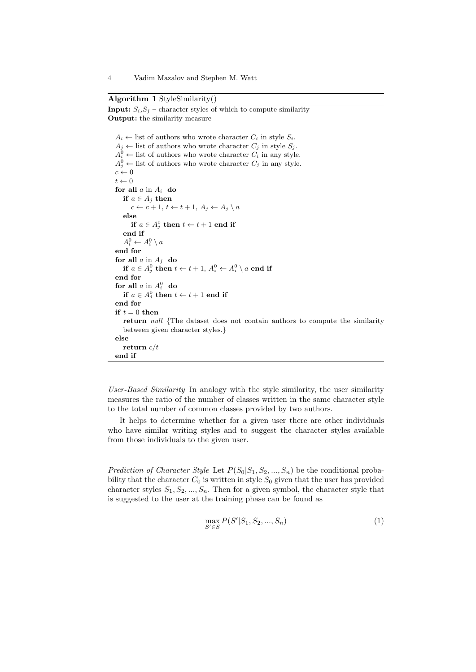**Input:**  $S_i$ ,  $S_j$  – character styles of which to compute similarity

Algorithm 1 StyleSimilarity()

```
Output: the similarity measure
A_i \leftarrow list of authors who wrote character C_i in style S_i.
A_j \leftarrow list of authors who wrote character C_j in style S_j.
 A_i^0 \leftarrow list of authors who wrote character C_i in any style.
 A_j^0 \leftarrow list of authors who wrote character C_j in any style.
c \leftarrow 0t \leftarrow 0for all a in A_i do
   if a \in A_j then
      c \leftarrow c + 1, t \leftarrow t + 1, A_j \leftarrow A_j \setminus aelse
       if a \in A_j^0 then t \leftarrow t+1 end if
   end if
    A_i^0 \leftarrow A_i^0 \setminus aend for
for all a in A_i do
    if a \in A_j^0 then t \leftarrow t+1, \, A_i^0 \leftarrow A_i^0 \setminus a end if
end for
 for all a in A_i^0 do
    if a \in A_j^0 then t \leftarrow t+1 end if
end for
if t = 0 then
   return null {The dataset does not contain authors to compute the similarity
   between given character styles.}
else
   return c/t
end if
```
User-Based Similarity In analogy with the style similarity, the user similarity measures the ratio of the number of classes written in the same character style to the total number of common classes provided by two authors.

It helps to determine whether for a given user there are other individuals who have similar writing styles and to suggest the character styles available from those individuals to the given user.

Prediction of Character Style Let  $P(S_0|S_1, S_2, ..., S_n)$  be the conditional probability that the character  $C_0$  is written in style  $S_0$  given that the user has provided character styles  $S_1, S_2, ..., S_n$ . Then for a given symbol, the character style that is suggested to the user at the training phase can be found as

$$
\max_{S' \in S} P(S'|S_1, S_2, ..., S_n)
$$
\n(1)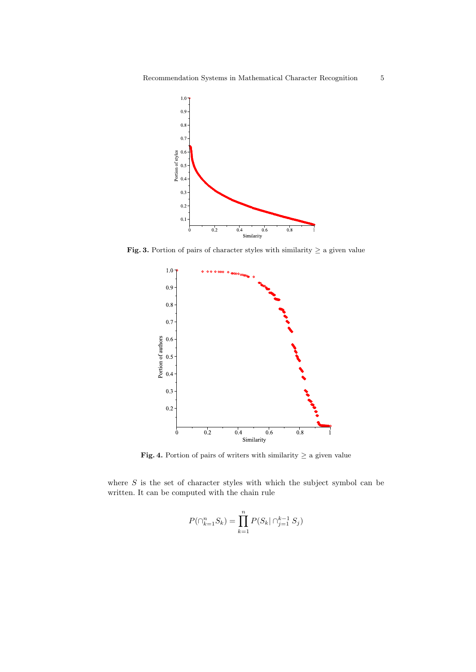

Fig. 3. Portion of pairs of character styles with similarity  $\geq$  a given value



Fig. 4. Portion of pairs of writers with similarity  $\geq$  a given value

where  $S$  is the set of character styles with which the subject symbol can be written. It can be computed with the chain rule

$$
P(\bigcap_{k=1}^{n} S_k) = \prod_{k=1}^{n} P(S_k | \bigcap_{j=1}^{k-1} S_j)
$$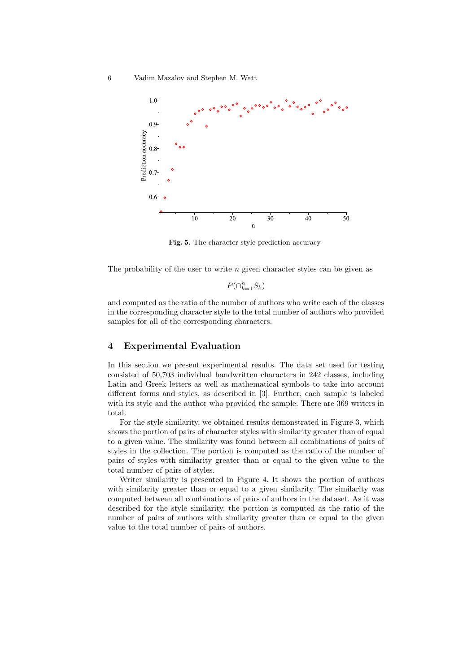

Fig. 5. The character style prediction accuracy

The probability of the user to write  $n$  given character styles can be given as

 $P(\bigcap_{k=1}^n S_k)$ 

and computed as the ratio of the number of authors who write each of the classes in the corresponding character style to the total number of authors who provided samples for all of the corresponding characters.

#### 4 Experimental Evaluation

In this section we present experimental results. The data set used for testing consisted of 50,703 individual handwritten characters in 242 classes, including Latin and Greek letters as well as mathematical symbols to take into account different forms and styles, as described in [3]. Further, each sample is labeled with its style and the author who provided the sample. There are 369 writers in total.

For the style similarity, we obtained results demonstrated in Figure 3, which shows the portion of pairs of character styles with similarity greater than of equal to a given value. The similarity was found between all combinations of pairs of styles in the collection. The portion is computed as the ratio of the number of pairs of styles with similarity greater than or equal to the given value to the total number of pairs of styles.

Writer similarity is presented in Figure 4. It shows the portion of authors with similarity greater than or equal to a given similarity. The similarity was computed between all combinations of pairs of authors in the dataset. As it was described for the style similarity, the portion is computed as the ratio of the number of pairs of authors with similarity greater than or equal to the given value to the total number of pairs of authors.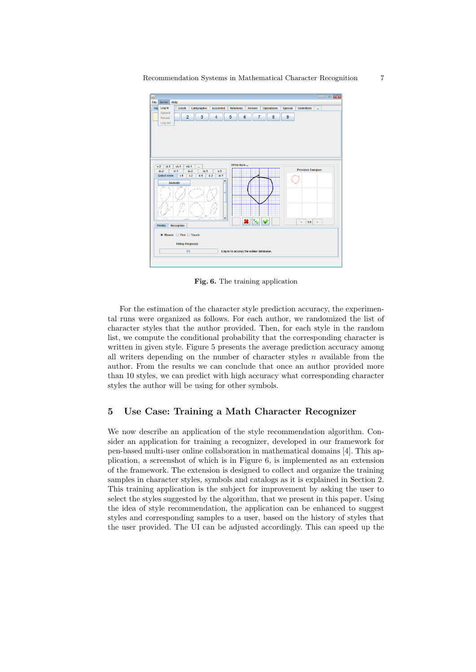Recommendation Systems in Mathematical Character Recognition 7



Fig. 6. The training application

For the estimation of the character style prediction accuracy, the experimental runs were organized as follows. For each author, we randomized the list of character styles that the author provided. Then, for each style in the random list, we compute the conditional probability that the corresponding character is written in given style. Figure 5 presents the average prediction accuracy among all writers depending on the number of character styles  $n$  available from the author. From the results we can conclude that once an author provided more than 10 styles, we can predict with high accuracy what corresponding character styles the author will be using for other symbols.

#### 5 Use Case: Training a Math Character Recognizer

We now describe an application of the style recommendation algorithm. Consider an application for training a recognizer, developed in our framework for pen-based multi-user online collaboration in mathematical domains [4]. This application, a screenshot of which is in Figure 6, is implemented as an extension of the framework. The extension is designed to collect and organize the training samples in character styles, symbols and catalogs as it is explained in Section 2. This training application is the subject for improvement by asking the user to select the styles suggested by the algorithm, that we present in this paper. Using the idea of style recommendation, the application can be enhanced to suggest styles and corresponding samples to a user, based on the history of styles that the user provided. The UI can be adjusted accordingly. This can speed up the